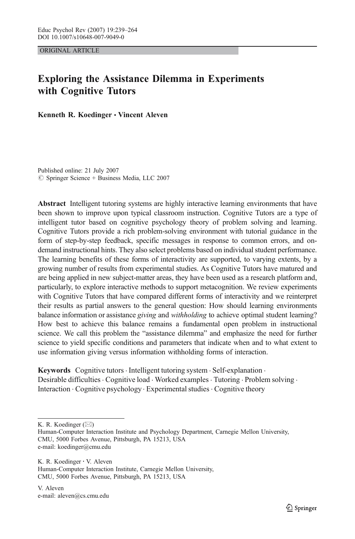ORIGINAL ARTICLE

# Exploring the Assistance Dilemma in Experiments with Cognitive Tutors

Kenneth R. Koedinger · Vincent Aleven

Published online: 21 July 2007  $\circledcirc$  Springer Science + Business Media, LLC 2007

Abstract Intelligent tutoring systems are highly interactive learning environments that have been shown to improve upon typical classroom instruction. Cognitive Tutors are a type of intelligent tutor based on cognitive psychology theory of problem solving and learning. Cognitive Tutors provide a rich problem-solving environment with tutorial guidance in the form of step-by-step feedback, specific messages in response to common errors, and ondemand instructional hints. They also select problems based on individual student performance. The learning benefits of these forms of interactivity are supported, to varying extents, by a growing number of results from experimental studies. As Cognitive Tutors have matured and are being applied in new subject-matter areas, they have been used as a research platform and, particularly, to explore interactive methods to support metacognition. We review experiments with Cognitive Tutors that have compared different forms of interactivity and we reinterpret their results as partial answers to the general question: How should learning environments balance information or assistance *giving* and *withholding* to achieve optimal student learning? How best to achieve this balance remains a fundamental open problem in instructional science. We call this problem the "assistance dilemma" and emphasize the need for further science to yield specific conditions and parameters that indicate when and to what extent to use information giving versus information withholding forms of interaction.

Keywords Cognitive tutors · Intelligent tutoring system · Self-explanation · Desirable difficulties  $\cdot$  Cognitive load  $\cdot$  Worked examples  $\cdot$  Tutoring  $\cdot$  Problem solving  $\cdot$ Interaction . Cognitive psychology . Experimental studies . Cognitive theory

K. R. Koedinger  $(\boxtimes)$ 

Human-Computer Interaction Institute and Psychology Department, Carnegie Mellon University, CMU, 5000 Forbes Avenue, Pittsburgh, PA 15213, USA e-mail: koedinger@cmu.edu

K. R. Koedinger : V. Aleven Human-Computer Interaction Institute, Carnegie Mellon University, CMU, 5000 Forbes Avenue, Pittsburgh, PA 15213, USA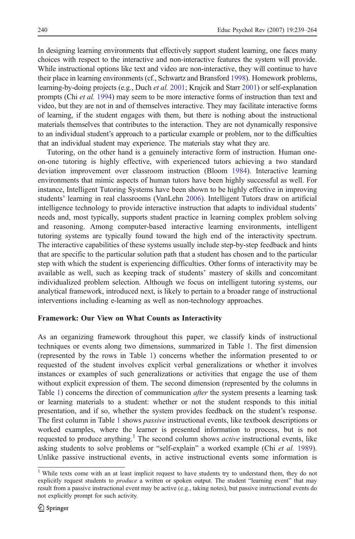In designing learning environments that effectively support student learning, one faces many choices with respect to the interactive and non-interactive features the system will provide. While instructional options like text and video are non-interactive, they will continue to have their place in learning environments (cf., Schwartz and Bransford [1998](#page-24-0)). Homework problems, learning-by-doing projects (e.g., Duch et al. [2001](#page-23-0); Krajcik and Starr 2001) or self-explanation prompts (Chi et al. [1994\)](#page-23-0) may seem to be more interactive forms of instruction than text and video, but they are not in and of themselves interactive. They may facilitate interactive forms of learning, if the student engages with them, but there is nothing about the instructional materials themselves that contributes to the interaction. They are not dynamically responsive to an individual student's approach to a particular example or problem, nor to the difficulties that an individual student may experience. The materials stay what they are.

Tutoring, on the other hand is a genuinely interactive form of instruction. Human oneon-one tutoring is highly effective, with experienced tutors achieving a two standard deviation improvement over classroom instruction (Bloom [1984\)](#page-23-0). Interactive learning environments that mimic aspects of human tutors have been highly successful as well. For instance, Intelligent Tutoring Systems have been shown to be highly effective in improving students' learning in real classrooms (VanLehn [2006](#page-25-0)). Intelligent Tutors draw on artificial intelligence technology to provide interactive instruction that adapts to individual students' needs and, most typically, supports student practice in learning complex problem solving and reasoning. Among computer-based interactive learning environments, intelligent tutoring systems are typically found toward the high end of the interactivity spectrum. The interactive capabilities of these systems usually include step-by-step feedback and hints that are specific to the particular solution path that a student has chosen and to the particular step with which the student is experiencing difficulties. Other forms of interactivity may be available as well, such as keeping track of students' mastery of skills and concomitant individualized problem selection. Although we focus on intelligent tutoring systems, our analytical framework, introduced next, is likely to pertain to a broader range of instructional interventions including e-learning as well as non-technology approaches.

# Framework: Our View on What Counts as Interactivity

As an organizing framework throughout this paper, we classify kinds of instructional techniques or events along two dimensions, summarized in Table [1.](#page-2-0) The first dimension (represented by the rows in Table [1](#page-2-0)) concerns whether the information presented to or requested of the student involves explicit verbal generalizations or whether it involves instances or examples of such generalizations or activities that engage the use of them without explicit expression of them. The second dimension (represented by the columns in Table [1](#page-2-0)) concerns the direction of communication *after* the system presents a learning task or learning materials to a student: whether or not the student responds to this initial presentation, and if so, whether the system provides feedback on the student's response. The first column in Table [1](#page-2-0) shows *passive* instructional events, like textbook descriptions or worked examples, where the learner is presented information to process, but is not requested to produce anything.<sup>1</sup> The second column shows *active* instructional events, like asking students to solve problems or "self-explain" a worked example (Chi et al. [1989](#page-23-0)). Unlike passive instructional events, in active instructional events some information is

<sup>&</sup>lt;sup>1</sup> While texts come with an at least implicit request to have students try to understand them, they do not explicitly request students to *produce* a written or spoken output. The student "learning event" that may result from a passive instructional event may be active (e.g., taking notes), but passive instructional events do not explicitly prompt for such activity.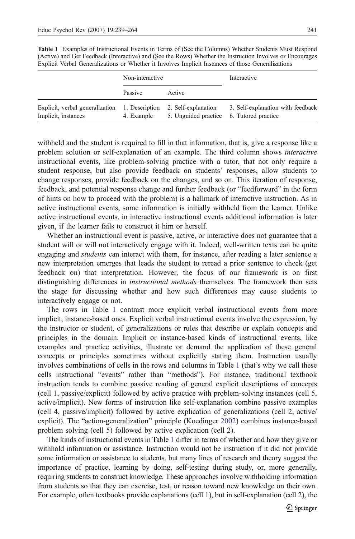|                                                        | Non-interactive              |                                                                 | Interactive                       |
|--------------------------------------------------------|------------------------------|-----------------------------------------------------------------|-----------------------------------|
|                                                        | Passive                      | Active                                                          |                                   |
| Explicit, verbal generalization<br>Implicit, instances | 1. Description<br>4. Example | 2. Self-explanation<br>5. Unguided practice 6. Tutored practice | 3. Self-explanation with feedback |

<span id="page-2-0"></span>Table 1 Examples of Instructional Events in Terms of (See the Columns) Whether Students Must Respond (Active) and Get Feedback (Interactive) and (See the Rows) Whether the Instruction Involves or Encourages Explicit Verbal Generalizations or Whether it Involves Implicit Instances of those Generalizations

withheld and the student is required to fill in that information, that is, give a response like a problem solution or self-explanation of an example. The third column shows interactive instructional events, like problem-solving practice with a tutor, that not only require a student response, but also provide feedback on students' responses, allow students to change responses, provide feedback on the changes, and so on. This iteration of response, feedback, and potential response change and further feedback (or "feedforward" in the form of hints on how to proceed with the problem) is a hallmark of interactive instruction. As in active instructional events, some information is initially withheld from the learner. Unlike active instructional events, in interactive instructional events additional information is later given, if the learner fails to construct it him or herself.

Whether an instructional event is passive, active, or interactive does not guarantee that a student will or will not interactively engage with it. Indeed, well-written texts can be quite engaging and *students* can interact with them, for instance, after reading a later sentence a new interpretation emerges that leads the student to reread a prior sentence to check (get feedback on) that interpretation. However, the focus of our framework is on first distinguishing differences in *instructional methods* themselves. The framework then sets the stage for discussing whether and how such differences may cause students to interactively engage or not.

The rows in Table 1 contrast more explicit verbal instructional events from more implicit, instance-based ones. Explicit verbal instructional events involve the expression, by the instructor or student, of generalizations or rules that describe or explain concepts and principles in the domain. Implicit or instance-based kinds of instructional events, like examples and practice activities, illustrate or demand the application of these general concepts or principles sometimes without explicitly stating them. Instruction usually involves combinations of cells in the rows and columns in Table 1 (that's why we call these cells instructional "events" rather than "methods"). For instance, traditional textbook instruction tends to combine passive reading of general explicit descriptions of concepts (cell 1, passive/explicit) followed by active practice with problem-solving instances (cell 5, active/implicit). New forms of instruction like self-explanation combine passive examples (cell 4, passive/implicit) followed by active explication of generalizations (cell 2, active/ explicit). The "action-generalization" principle (Koedinger [2002](#page-23-0)) combines instance-based problem solving (cell 5) followed by active explication (cell 2).

The kinds of instructional events in Table 1 differ in terms of whether and how they give or withhold information or assistance. Instruction would not be instruction if it did not provide some information or assistance to students, but many lines of research and theory suggest the importance of practice, learning by doing, self-testing during study, or, more generally, requiring students to construct knowledge. These approaches involve withholding information from students so that they can exercise, test, or reason toward new knowledge on their own. For example, often textbooks provide explanations (cell 1), but in self-explanation (cell 2), the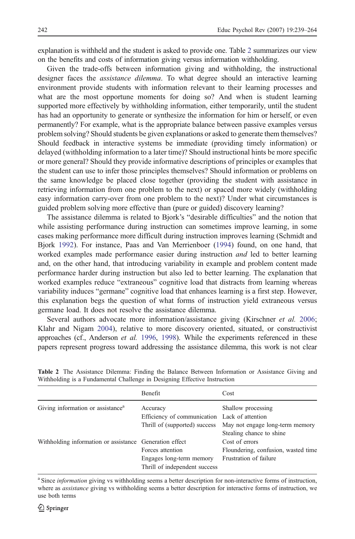<span id="page-3-0"></span>explanation is withheld and the student is asked to provide one. Table 2 summarizes our view on the benefits and costs of information giving versus information withholding.

Given the trade-offs between information giving and withholding, the instructional designer faces the *assistance dilemma*. To what degree should an interactive learning environment provide students with information relevant to their learning processes and what are the most opportune moments for doing so? And when is student learning supported more effectively by withholding information, either temporarily, until the student has had an opportunity to generate or synthesize the information for him or herself, or even permanently? For example, what is the appropriate balance between passive examples versus problem solving? Should students be given explanations or asked to generate them themselves? Should feedback in interactive systems be immediate (providing timely information) or delayed (withholding information to a later time)? Should instructional hints be more specific or more general? Should they provide informative descriptions of principles or examples that the student can use to infer those principles themselves? Should information or problems on the same knowledge be placed close together (providing the student with assistance in retrieving information from one problem to the next) or spaced more widely (withholding easy information carry-over from one problem to the next)? Under what circumstances is guided problem solving more effective than (pure or guided) discovery learning?

The assistance dilemma is related to Bjork's "desirable difficulties" and the notion that while assisting performance during instruction can sometimes improve learning, in some cases making performance more difficult during instruction improves learning (Schmidt and Bjork [1992](#page-24-0)). For instance, Paas and Van Merrienboer [\(1994](#page-24-0)) found, on one hand, that worked examples made performance easier during instruction *and* led to better learning and, on the other hand, that introducing variability in example and problem content made performance harder during instruction but also led to better learning. The explanation that worked examples reduce "extraneous" cognitive load that distracts from learning whereas variability induces "germane" cognitive load that enhances learning is a first step. However, this explanation begs the question of what forms of instruction yield extraneous versus germane load. It does not resolve the assistance dilemma.

Several authors advocate more information/assistance giving (Kirschner et al. [2006](#page-23-0); Klahr and Nigam [2004](#page-23-0)), relative to more discovery oriented, situated, or constructivist approaches (cf., Anderson et al. [1996](#page-22-0), [1998](#page-22-0)). While the experiments referenced in these papers represent progress toward addressing the assistance dilemma, this work is not clear

|                                                         | Benefit                                                                                    | Cost                                                                                                        |
|---------------------------------------------------------|--------------------------------------------------------------------------------------------|-------------------------------------------------------------------------------------------------------------|
| Giving information or assistance <sup>a</sup>           | Accuracy<br>Efficiency of communication Lack of attention<br>Thrill of (supported) success | Shallow processing<br>May not engage long-term memory                                                       |
| Withholding information or assistance Generation effect | Forces attention<br>Engages long-term memory<br>Thrill of independent success              | Stealing chance to shine<br>Cost of errors<br>Floundering, confusion, wasted time<br>Frustration of failure |

Table 2 The Assistance Dilemma: Finding the Balance Between Information or Assistance Giving and Withholding is a Fundamental Challenge in Designing Effective Instruction

<sup>a</sup> Since *information* giving vs withholding seems a better description for non-interactive forms of instruction, where as *assistance* giving vs withholding seems a better description for interactive forms of instruction, we use both terms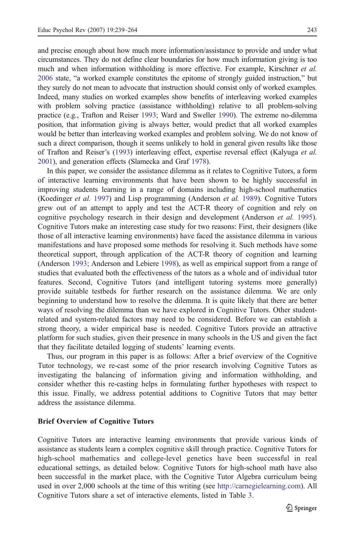and precise enough about how much more information/assistance to provide and under what circumstances. They do not define clear boundaries for how much information giving is too much and when information withholding is more effective. For example, Kirschner et al. [2006](#page-23-0) state, "a worked example constitutes the epitome of strongly guided instruction," but they surely do not mean to advocate that instruction should consist only of worked examples. Indeed, many studies on worked examples show benefits of interleaving worked examples with problem solving practice (assistance withholding) relative to all problem-solving practice (e.g., Trafton and Reiser [1993](#page-25-0); Ward and Sweller [1990\)](#page-25-0). The extreme no-dilemma position, that information giving is always better, would predict that all worked examples would be better than interleaving worked examples and problem solving. We do not know of such a direct comparison, though it seems unlikely to hold in general given results like those of Trafton and Reiser's [\(1993](#page-25-0)) interleaving effect, expertise reversal effect (Kalyuga et al. [2001](#page-23-0)), and generation effects (Slamecka and Graf [1978\)](#page-24-0).

In this paper, we consider the assistance dilemma as it relates to Cognitive Tutors, a form of interactive learning environments that have been shown to be highly successful in improving students learning in a range of domains including high-school mathematics (Koedinger et al. [1997\)](#page-23-0) and Lisp programming (Anderson et al. [1989\)](#page-22-0). Cognitive Tutors grew out of an attempt to apply and test the ACT-R theory of cognition and rely on cognitive psychology research in their design and development (Anderson *et al.* [1995](#page-22-0)). Cognitive Tutors make an interesting case study for two reasons: First, their designers (like those of all interactive learning environments) have faced the assistance dilemma in various manifestations and have proposed some methods for resolving it. Such methods have some theoretical support, through application of the ACT-R theory of cognition and learning (Anderson [1993;](#page-22-0) Anderson and Lebiere [1998](#page-22-0)), as well as empirical support from a range of studies that evaluated both the effectiveness of the tutors as a whole and of individual tutor features. Second, Cognitive Tutors (and intelligent tutoring systems more generally) provide suitable testbeds for further research on the assistance dilemma. We are only beginning to understand how to resolve the dilemma. It is quite likely that there are better ways of resolving the dilemma than we have explored in Cognitive Tutors. Other studentrelated and system-related factors may need to be considered. Before we can establish a strong theory, a wider empirical base is needed. Cognitive Tutors provide an attractive platform for such studies, given their presence in many schools in the US and given the fact that they facilitate detailed logging of students' learning events.

Thus, our program in this paper is as follows: After a brief overview of the Cognitive Tutor technology, we re-cast some of the prior research involving Cognitive Tutors as investigating the balancing of information giving and information withholding, and consider whether this re-casting helps in formulating further hypotheses with respect to this issue. Finally, we address potential additions to Cognitive Tutors that may better address the assistance dilemma.

## Brief Overview of Cognitive Tutors

Cognitive Tutors are interactive learning environments that provide various kinds of assistance as students learn a complex cognitive skill through practice. Cognitive Tutors for high-school mathematics and college-level genetics have been successful in real educational settings, as detailed below. Cognitive Tutors for high-school math have also been successful in the market place, with the Cognitive Tutor Algebra curriculum being used in over 2,000 schools at the time of this writing (see <http://carnegielearning.com>). All Cognitive Tutors share a set of interactive elements, listed in Table [3](#page-5-0).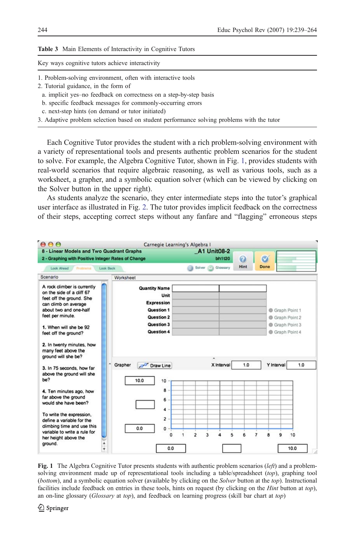#### <span id="page-5-0"></span>Table 3 Main Elements of Interactivity in Cognitive Tutors

Key ways cognitive tutors achieve interactivity

- 1. Problem-solving environment, often with interactive tools
- 2. Tutorial guidance, in the form of
- a. implicit yes–no feedback on correctness on a step-by-step basis
- b. specific feedback messages for commonly-occurring errors
- c. next-step hints (on demand or tutor initiated)
- 3. Adaptive problem selection based on student performance solving problems with the tutor

Each Cognitive Tutor provides the student with a rich problem-solving environment with a variety of representational tools and presents authentic problem scenarios for the student to solve. For example, the Algebra Cognitive Tutor, shown in Fig. 1, provides students with real-world scenarios that require algebraic reasoning, as well as various tools, such as a worksheet, a grapher, and a symbolic equation solver (which can be viewed by clicking on the Solver button in the upper right).

As students analyze the scenario, they enter intermediate steps into the tutor's graphical user interface as illustrated in Fig. [2](#page-6-0). The tutor provides implicit feedback on the correctness of their steps, accepting correct steps without any fanfare and "flagging" erroneous steps



Fig. 1 The Algebra Cognitive Tutor presents students with authentic problem scenarios (left) and a problemsolving environment made up of representational tools including a table/spreadsheet (top), graphing tool (bottom), and a symbolic equation solver (available by clicking on the Solver button at the top). Instructional facilities include feedback on entries in these tools, hints on request (by clicking on the Hint button at top), an on-line glossary (Glossary at top), and feedback on learning progress (skill bar chart at top)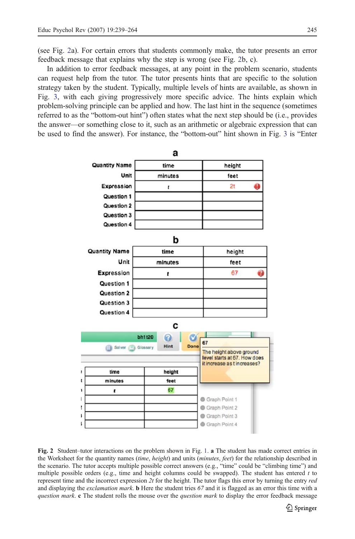<span id="page-6-0"></span>(see Fig. 2a). For certain errors that students commonly make, the tutor presents an error feedback message that explains why the step is wrong (see Fig. 2b, c).

In addition to error feedback messages, at any point in the problem scenario, students can request help from the tutor. The tutor presents hints that are specific to the solution strategy taken by the student. Typically, multiple levels of hints are available, as shown in Fig. [3](#page-7-0), with each giving progressively more specific advice. The hints explain which problem-solving principle can be applied and how. The last hint in the sequence (sometimes referred to as the "bottom-out hint") often states what the next step should be (i.e., provides the answer—or something close to it, such as an arithmetic or algebraic expression that can be used to find the answer). For instance, the "bottom-out" hint shown in Fig. [3](#page-7-0) is "Enter



Fig. 2 Student–tutor interactions on the problem shown in Fig. [1.](#page-5-0) a The student has made correct entries in the Worksheet for the quantity names *(time, height)* and units *(minutes, feet)* for the relationship described in the scenario. The tutor accepts multiple possible correct answers (e.g., "time" could be "climbing time") and multiple possible orders (e.g., time and height columns could be swapped). The student has entered  $t$  to represent time and the incorrect expression 2t for the height. The tutor flags this error by turning the entry red and displaying the *exclamation mark*. **b** Here the student tries  $67$  and it is flagged as an error this time with a question mark. c The student rolls the mouse over the question mark to display the error feedback message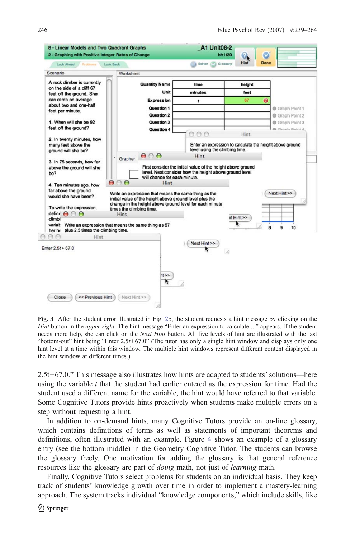<span id="page-7-0"></span>

Fig. 3 After the student error illustrated in Fig. [2](#page-6-0)b, the student requests a hint message by clicking on the Hint button in the *upper right*. The hint message "Enter an expression to calculate ..." appears. If the student needs more help, she can click on the *Next Hint* button. All five levels of hint are illustrated with the last "bottom-out" hint being "Enter  $2.5t+67.0$ " (The tutor has only a single hint window and displays only one hint level at a time within this window. The multiple hint windows represent different content displayed in the hint window at different times.)

2.5t+67.0." This message also illustrates how hints are adapted to students' solutions—here using the variable  $t$  that the student had earlier entered as the expression for time. Had the student used a different name for the variable, the hint would have referred to that variable. Some Cognitive Tutors provide hints proactively when students make multiple errors on a step without requesting a hint.

In addition to on-demand hints, many Cognitive Tutors provide an on-line glossary, which contains definitions of terms as well as statements of important theorems and definitions, often illustrated with an example. Figure [4](#page-8-0) shows an example of a glossary entry (see the bottom middle) in the Geometry Cognitive Tutor. The students can browse the glossary freely. One motivation for adding the glossary is that general reference resources like the glossary are part of *doing* math, not just of *learning* math.

Finally, Cognitive Tutors select problems for students on an individual basis. They keep track of students' knowledge growth over time in order to implement a mastery-learning approach. The system tracks individual "knowledge components," which include skills, like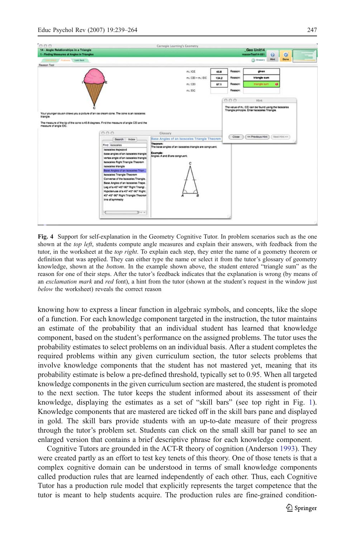<span id="page-8-0"></span>

Fig. 4 Support for self-explanation in the Geometry Cognitive Tutor. In problem scenarios such as the one shown at the *top left*, students compute angle measures and explain their answers, with feedback from the tutor, in the worksheet at the *top right*. To explain each step, they enter the name of a geometry theorem or definition that was applied. They can either type the name or select it from the tutor's glossary of geometry knowledge, shown at the bottom. In the example shown above, the student entered "triangle sum" as the reason for one of their steps. After the tutor's feedback indicates that the explanation is wrong (by means of an exclamation mark and red font), a hint from the tutor (shown at the student's request in the window just below the worksheet) reveals the correct reason

knowing how to express a linear function in algebraic symbols, and concepts, like the slope of a function. For each knowledge component targeted in the instruction, the tutor maintains an estimate of the probability that an individual student has learned that knowledge component, based on the student's performance on the assigned problems. The tutor uses the probability estimates to select problems on an individual basis. After a student completes the required problems within any given curriculum section, the tutor selects problems that involve knowledge components that the student has not mastered yet, meaning that its probability estimate is below a pre-defined threshold, typically set to 0.95. When all targeted knowledge components in the given curriculum section are mastered, the student is promoted to the next section. The tutor keeps the student informed about its assessment of their knowledge, displaying the estimates as a set of "skill bars" (see top right in Fig. [1](#page-5-0)). Knowledge components that are mastered are ticked off in the skill bars pane and displayed in gold. The skill bars provide students with an up-to-date measure of their progress through the tutor's problem set. Students can click on the small skill bar panel to see an enlarged version that contains a brief descriptive phrase for each knowledge component.

Cognitive Tutors are grounded in the ACT-R theory of cognition (Anderson [1993](#page-22-0)). They were created partly as an effort to test key tenets of this theory. One of those tenets is that a complex cognitive domain can be understood in terms of small knowledge components called production rules that are learned independently of each other. Thus, each Cognitive Tutor has a production rule model that explicitly represents the target competence that the tutor is meant to help students acquire. The production rules are fine-grained condition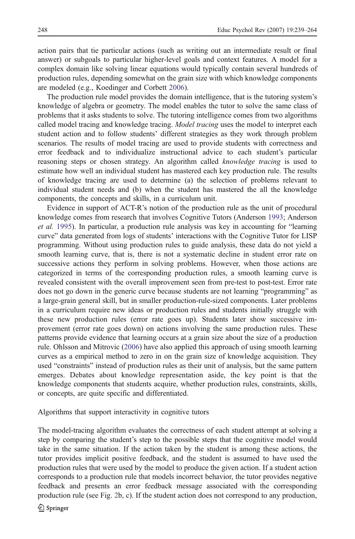action pairs that tie particular actions (such as writing out an intermediate result or final answer) or subgoals to particular higher-level goals and context features. A model for a complex domain like solving linear equations would typically contain several hundreds of production rules, depending somewhat on the grain size with which knowledge components are modeled (e.g., Koedinger and Corbett [2006](#page-23-0)).

The production rule model provides the domain intelligence, that is the tutoring system's knowledge of algebra or geometry. The model enables the tutor to solve the same class of problems that it asks students to solve. The tutoring intelligence comes from two algorithms called model tracing and knowledge tracing. *Model tracing* uses the model to interpret each student action and to follow students' different strategies as they work through problem scenarios. The results of model tracing are used to provide students with correctness and error feedback and to individualize instructional advice to each student's particular reasoning steps or chosen strategy. An algorithm called knowledge tracing is used to estimate how well an individual student has mastered each key production rule. The results of knowledge tracing are used to determine (a) the selection of problems relevant to individual student needs and (b) when the student has mastered the all the knowledge components, the concepts and skills, in a curriculum unit.

Evidence in support of ACT-R's notion of the production rule as the unit of procedural knowledge comes from research that involves Cognitive Tutors (Anderson [1993;](#page-22-0) Anderson et al. [1995\)](#page-22-0). In particular, a production rule analysis was key in accounting for "learning curve" data generated from logs of students' interactions with the Cognitive Tutor for LISP programming. Without using production rules to guide analysis, these data do not yield a smooth learning curve, that is, there is not a systematic decline in student error rate on successive actions they perform in solving problems. However, when those actions are categorized in terms of the corresponding production rules, a smooth learning curve is revealed consistent with the overall improvement seen from pre-test to post-test. Error rate does not go down in the generic curve because students are not learning "programming" as a large-grain general skill, but in smaller production-rule-sized components. Later problems in a curriculum require new ideas or production rules and students initially struggle with these new production rules (error rate goes up). Students later show successive improvement (error rate goes down) on actions involving the same production rules. These patterns provide evidence that learning occurs at a grain size about the size of a production rule. Ohlsson and Mitrovic ([2006\)](#page-24-0) have also applied this approach of using smooth learning curves as a empirical method to zero in on the grain size of knowledge acquisition. They used "constraints" instead of production rules as their unit of analysis, but the same pattern emerges. Debates about knowledge representation aside, the key point is that the knowledge components that students acquire, whether production rules, constraints, skills, or concepts, are quite specific and differentiated.

#### Algorithms that support interactivity in cognitive tutors

The model-tracing algorithm evaluates the correctness of each student attempt at solving a step by comparing the student's step to the possible steps that the cognitive model would take in the same situation. If the action taken by the student is among these actions, the tutor provides implicit positive feedback, and the student is assumed to have used the production rules that were used by the model to produce the given action. If a student action corresponds to a production rule that models incorrect behavior, the tutor provides negative feedback and presents an error feedback message associated with the corresponding production rule (see Fig. [2](#page-6-0)b, c). If the student action does not correspond to any production,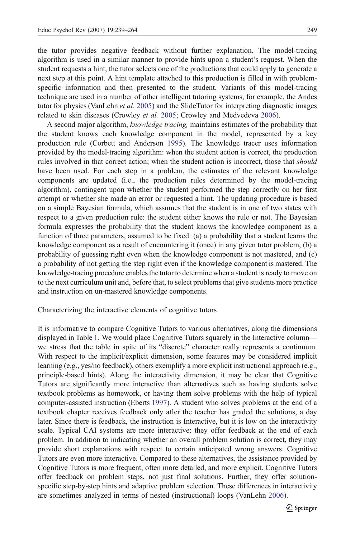the tutor provides negative feedback without further explanation. The model-tracing algorithm is used in a similar manner to provide hints upon a student's request. When the student requests a hint, the tutor selects one of the productions that could apply to generate a next step at this point. A hint template attached to this production is filled in with problemspecific information and then presented to the student. Variants of this model-tracing technique are used in a number of other intelligent tutoring systems, for example, the Andes tutor for physics (VanLehn et al. [2005](#page-25-0)) and the SlideTutor for interpreting diagnostic images related to skin diseases (Crowley et al. [2005](#page-23-0); Crowley and Medvedeva [2006\)](#page-23-0).

A second major algorithm, knowledge tracing, maintains estimates of the probability that the student knows each knowledge component in the model, represented by a key production rule (Corbett and Anderson [1995](#page-23-0)). The knowledge tracer uses information provided by the model-tracing algorithm: when the student action is correct, the production rules involved in that correct action; when the student action is incorrect, those that *should* have been used. For each step in a problem, the estimates of the relevant knowledge components are updated (i.e., the production rules determined by the model-tracing algorithm), contingent upon whether the student performed the step correctly on her first attempt or whether she made an error or requested a hint. The updating procedure is based on a simple Bayesian formula, which assumes that the student is in one of two states with respect to a given production rule: the student either knows the rule or not. The Bayesian formula expresses the probability that the student knows the knowledge component as a function of three parameters, assumed to be fixed: (a) a probability that a student learns the knowledge component as a result of encountering it (once) in any given tutor problem, (b) a probability of guessing right even when the knowledge component is not mastered, and (c) a probability of not getting the step right even if the knowledge component is mastered. The knowledge-tracing procedure enables the tutor to determine when a student is ready to move on to the next curriculum unit and, before that, to select problems that give students more practice and instruction on un-mastered knowledge components.

#### Characterizing the interactive elements of cognitive tutors

It is informative to compare Cognitive Tutors to various alternatives, along the dimensions displayed in Table [1](#page-2-0). We would place Cognitive Tutors squarely in the Interactive column we stress that the table in spite of its "discrete" character really represents a continuum. With respect to the implicit/explicit dimension, some features may be considered implicit learning (e.g., yes/no feedback), others exemplify a more explicit instructional approach (e.g., principle-based hints). Along the interactivity dimension, it may be clear that Cognitive Tutors are significantly more interactive than alternatives such as having students solve textbook problems as homework, or having them solve problems with the help of typical computer-assisted instruction (Eberts [1997\)](#page-23-0). A student who solves problems at the end of a textbook chapter receives feedback only after the teacher has graded the solutions, a day later. Since there is feedback, the instruction is Interactive, but it is low on the interactivity scale. Typical CAI systems are more interactive: they offer feedback at the end of each problem. In addition to indicating whether an overall problem solution is correct, they may provide short explanations with respect to certain anticipated wrong answers. Cognitive Tutors are even more interactive. Compared to these alternatives, the assistance provided by Cognitive Tutors is more frequent, often more detailed, and more explicit. Cognitive Tutors offer feedback on problem steps, not just final solutions. Further, they offer solutionspecific step-by-step hints and adaptive problem selection. These differences in interactivity are sometimes analyzed in terms of nested (instructional) loops (VanLehn [2006\)](#page-25-0).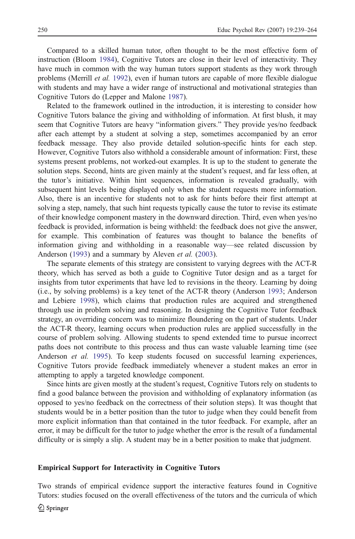Compared to a skilled human tutor, often thought to be the most effective form of instruction (Bloom [1984\)](#page-23-0), Cognitive Tutors are close in their level of interactivity. They have much in common with the way human tutors support students as they work through problems (Merrill *et al.* [1992\)](#page-24-0), even if human tutors are capable of more flexible dialogue with students and may have a wider range of instructional and motivational strategies than Cognitive Tutors do (Lepper and Malone [1987\)](#page-23-0).

Related to the framework outlined in the introduction, it is interesting to consider how Cognitive Tutors balance the giving and withholding of information. At first blush, it may seem that Cognitive Tutors are heavy "information givers." They provide yes/no feedback after each attempt by a student at solving a step, sometimes accompanied by an error feedback message. They also provide detailed solution-specific hints for each step. However, Cognitive Tutors also withhold a considerable amount of information: First, these systems present problems, not worked-out examples. It is up to the student to generate the solution steps. Second, hints are given mainly at the student's request, and far less often, at the tutor's initiative. Within hint sequences, information is revealed gradually, with subsequent hint levels being displayed only when the student requests more information. Also, there is an incentive for students not to ask for hints before their first attempt at solving a step, namely, that such hint requests typically cause the tutor to revise its estimate of their knowledge component mastery in the downward direction. Third, even when yes/no feedback is provided, information is being withheld: the feedback does not give the answer, for example. This combination of features was thought to balance the benefits of information giving and withholding in a reasonable way—see related discussion by Anderson ([1993](#page-22-0)) and a summary by Aleven et al. [\(2003\)](#page-22-0).

The separate elements of this strategy are consistent to varying degrees with the ACT-R theory, which has served as both a guide to Cognitive Tutor design and as a target for insights from tutor experiments that have led to revisions in the theory. Learning by doing (i.e., by solving problems) is a key tenet of the ACT-R theory (Anderson [1993](#page-22-0); Anderson and Lebiere [1998\)](#page-22-0), which claims that production rules are acquired and strengthened through use in problem solving and reasoning. In designing the Cognitive Tutor feedback strategy, an overriding concern was to minimize floundering on the part of students. Under the ACT-R theory, learning occurs when production rules are applied successfully in the course of problem solving. Allowing students to spend extended time to pursue incorrect paths does not contribute to this process and thus can waste valuable learning time (see Anderson et al. [1995\)](#page-22-0). To keep students focused on successful learning experiences, Cognitive Tutors provide feedback immediately whenever a student makes an error in attempting to apply a targeted knowledge component.

Since hints are given mostly at the student's request, Cognitive Tutors rely on students to find a good balance between the provision and withholding of explanatory information (as opposed to yes/no feedback on the correctness of their solution steps). It was thought that students would be in a better position than the tutor to judge when they could benefit from more explicit information than that contained in the tutor feedback. For example, after an error, it may be difficult for the tutor to judge whether the error is the result of a fundamental difficulty or is simply a slip. A student may be in a better position to make that judgment.

## Empirical Support for Interactivity in Cognitive Tutors

Two strands of empirical evidence support the interactive features found in Cognitive Tutors: studies focused on the overall effectiveness of the tutors and the curricula of which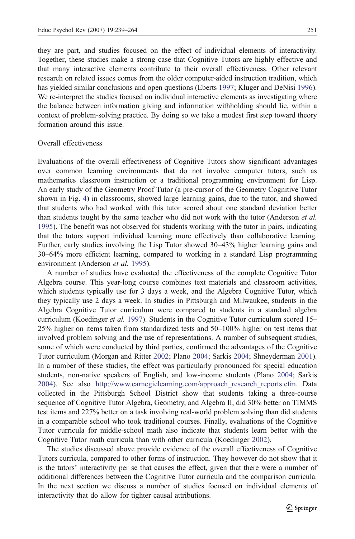they are part, and studies focused on the effect of individual elements of interactivity. Together, these studies make a strong case that Cognitive Tutors are highly effective and that many interactive elements contribute to their overall effectiveness. Other relevant research on related issues comes from the older computer-aided instruction tradition, which has yielded similar conclusions and open questions (Eberts [1997;](#page-23-0) Kluger and DeNisi [1996](#page-23-0)). We re-interpret the studies focused on individual interactive elements as investigating where the balance between information giving and information withholding should lie, within a context of problem-solving practice. By doing so we take a modest first step toward theory formation around this issue.

#### Overall effectiveness

Evaluations of the overall effectiveness of Cognitive Tutors show significant advantages over common learning environments that do not involve computer tutors, such as mathematics classroom instruction or a traditional programming environment for Lisp. An early study of the Geometry Proof Tutor (a pre-cursor of the Geometry Cognitive Tutor shown in Fig. [4](#page-8-0)) in classrooms, showed large learning gains, due to the tutor, and showed that students who had worked with this tutor scored about one standard deviation better than students taught by the same teacher who did not work with the tutor (Anderson *et al.*) [1995\)](#page-22-0). The benefit was not observed for students working with the tutor in pairs, indicating that the tutors support individual learning more effectively than collaborative learning. Further, early studies involving the Lisp Tutor showed 30–43% higher learning gains and 30–64% more efficient learning, compared to working in a standard Lisp programming environment (Anderson *et al.* [1995\)](#page-22-0).

A number of studies have evaluated the effectiveness of the complete Cognitive Tutor Algebra course. This year-long course combines text materials and classroom activities, which students typically use for 3 days a week, and the Algebra Cognitive Tutor, which they typically use 2 days a week. In studies in Pittsburgh and Milwaukee, students in the Algebra Cognitive Tutor curriculum were compared to students in a standard algebra curriculum (Koedinger *et al.* [1997\)](#page-23-0). Students in the Cognitive Tutor curriculum scored 15– 25% higher on items taken from standardized tests and 50–100% higher on test items that involved problem solving and the use of representations. A number of subsequent studies, some of which were conducted by third parties, confirmed the advantages of the Cognitive Tutor curriculum (Morgan and Ritter [2002](#page-24-0); Plano [2004;](#page-24-0) Sarkis [2004](#page-24-0); Shneyderman [2001](#page-24-0)). In a number of these studies, the effect was particularly pronounced for special education students, non-native speakers of English, and low-income students (Plano [2004](#page-24-0); Sarkis [2004\)](#page-24-0). See also [http://www.carnegielearning.com/approach\\_research\\_reports.cfm](http://www.carnegielearning.com/approach_research_reports.cfm). Data collected in the Pittsburgh School District show that students taking a three-course sequence of Cognitive Tutor Algebra, Geometry, and Algebra II, did 30% better on TIMMS test items and 227% better on a task involving real-world problem solving than did students in a comparable school who took traditional courses. Finally, evaluations of the Cognitive Tutor curricula for middle-school math also indicate that students learn better with the Cognitive Tutor math curricula than with other curricula (Koedinger [2002\)](#page-23-0).

The studies discussed above provide evidence of the overall effectiveness of Cognitive Tutors curricula, compared to other forms of instruction. They however do not show that it is the tutors' interactivity per se that causes the effect, given that there were a number of additional differences between the Cognitive Tutor curricula and the comparison curricula. In the next section we discuss a number of studies focused on individual elements of interactivity that do allow for tighter causal attributions.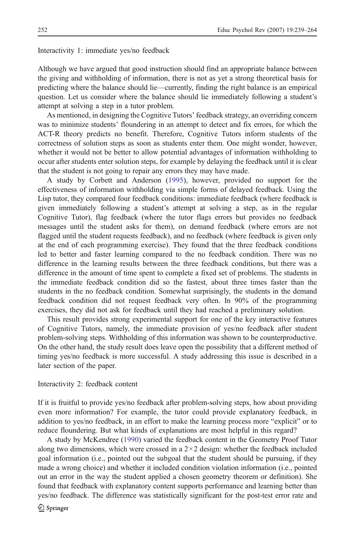Interactivity 1: immediate yes/no feedback

Although we have argued that good instruction should find an appropriate balance between the giving and withholding of information, there is not as yet a strong theoretical basis for predicting where the balance should lie—currently, finding the right balance is an empirical question. Let us consider where the balance should lie immediately following a student's attempt at solving a step in a tutor problem.

As mentioned, in designing the Cognitive Tutors' feedback strategy, an overriding concern was to minimize students' floundering in an attempt to detect and fix errors, for which the ACT-R theory predicts no benefit. Therefore, Cognitive Tutors inform students of the correctness of solution steps as soon as students enter them. One might wonder, however, whether it would not be better to allow potential advantages of information withholding to occur after students enter solution steps, for example by delaying the feedback until it is clear that the student is not going to repair any errors they may have made.

A study by Corbett and Anderson [\(1995](#page-23-0)), however, provided no support for the effectiveness of information withholding via simple forms of delayed feedback. Using the Lisp tutor, they compared four feedback conditions: immediate feedback (where feedback is given immediately following a student's attempt at solving a step, as in the regular Cognitive Tutor), flag feedback (where the tutor flags errors but provides no feedback messages until the student asks for them), on demand feedback (where errors are not flagged until the student requests feedback), and no feedback (where feedback is given only at the end of each programming exercise). They found that the three feedback conditions led to better and faster learning compared to the no feedback condition. There was no difference in the learning results between the three feedback conditions, but there was a difference in the amount of time spent to complete a fixed set of problems. The students in the immediate feedback condition did so the fastest, about three times faster than the students in the no feedback condition. Somewhat surprisingly, the students in the demand feedback condition did not request feedback very often. In 90% of the programming exercises, they did not ask for feedback until they had reached a preliminary solution.

This result provides strong experimental support for one of the key interactive features of Cognitive Tutors, namely, the immediate provision of yes/no feedback after student problem-solving steps. Withholding of this information was shown to be counterproductive. On the other hand, the study result does leave open the possibility that a different method of timing yes/no feedback is more successful. A study addressing this issue is described in a later section of the paper.

## Interactivity 2: feedback content

If it is fruitful to provide yes/no feedback after problem-solving steps, how about providing even more information? For example, the tutor could provide explanatory feedback, in addition to yes/no feedback, in an effort to make the learning process more "explicit" or to reduce floundering. But what kinds of explanations are most helpful in this regard?

A study by McKendree ([1990\)](#page-24-0) varied the feedback content in the Geometry Proof Tutor along two dimensions, which were crossed in a  $2 \times 2$  design: whether the feedback included goal information (i.e., pointed out the subgoal that the student should be pursuing, if they made a wrong choice) and whether it included condition violation information (i.e., pointed out an error in the way the student applied a chosen geometry theorem or definition). She found that feedback with explanatory content supports performance and learning better than yes/no feedback. The difference was statistically significant for the post-test error rate and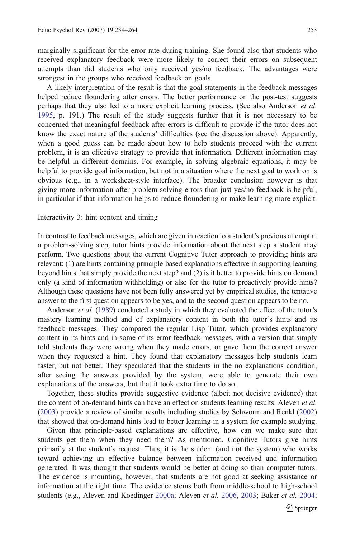marginally significant for the error rate during training. She found also that students who received explanatory feedback were more likely to correct their errors on subsequent attempts than did students who only received yes/no feedback. The advantages were strongest in the groups who received feedback on goals.

A likely interpretation of the result is that the goal statements in the feedback messages helped reduce floundering after errors. The better performance on the post-test suggests perhaps that they also led to a more explicit learning process. (See also Anderson et al. [1995,](#page-22-0) p. 191.) The result of the study suggests further that it is not necessary to be concerned that meaningful feedback after errors is difficult to provide if the tutor does not know the exact nature of the students' difficulties (see the discussion above). Apparently, when a good guess can be made about how to help students proceed with the current problem, it is an effective strategy to provide that information. Different information may be helpful in different domains. For example, in solving algebraic equations, it may be helpful to provide goal information, but not in a situation where the next goal to work on is obvious (e.g., in a worksheet-style interface). The broader conclusion however is that giving more information after problem-solving errors than just yes/no feedback is helpful, in particular if that information helps to reduce floundering or make learning more explicit.

#### Interactivity 3: hint content and timing

In contrast to feedback messages, which are given in reaction to a student's previous attempt at a problem-solving step, tutor hints provide information about the next step a student may perform. Two questions about the current Cognitive Tutor approach to providing hints are relevant: (1) are hints containing principle-based explanations effective in supporting learning beyond hints that simply provide the next step? and (2) is it better to provide hints on demand only (a kind of information withholding) or also for the tutor to proactively provide hints? Although these questions have not been fully answered yet by empirical studies, the tentative answer to the first question appears to be yes, and to the second question appears to be no.

Anderson et al. [\(1989\)](#page-22-0) conducted a study in which they evaluated the effect of the tutor's mastery learning method and of explanatory content in both the tutor's hints and its feedback messages. They compared the regular Lisp Tutor, which provides explanatory content in its hints and in some of its error feedback messages, with a version that simply told students they were wrong when they made errors, or gave them the correct answer when they requested a hint. They found that explanatory messages help students learn faster, but not better. They speculated that the students in the no explanations condition, after seeing the answers provided by the system, were able to generate their own explanations of the answers, but that it took extra time to do so.

Together, these studies provide suggestive evidence (albeit not decisive evidence) that the content of on-demand hints can have an effect on students learning results. Aleven *et al.* ([2003\)](#page-22-0) provide a review of similar results including studies by Schworm and Renkl ([2002\)](#page-24-0) that showed that on-demand hints lead to better learning in a system for example studying.

Given that principle-based explanations are effective, how can we make sure that students get them when they need them? As mentioned, Cognitive Tutors give hints primarily at the student's request. Thus, it is the student (and not the system) who works toward achieving an effective balance between information received and information generated. It was thought that students would be better at doing so than computer tutors. The evidence is mounting, however, that students are not good at seeking assistance or information at the right time. The evidence stems both from middle-school to high-school students (e.g., Aleven and Koedinger [2000a;](#page-22-0) Aleven et al. [2006](#page-22-0), [2003;](#page-22-0) Baker et al. [2004](#page-23-0);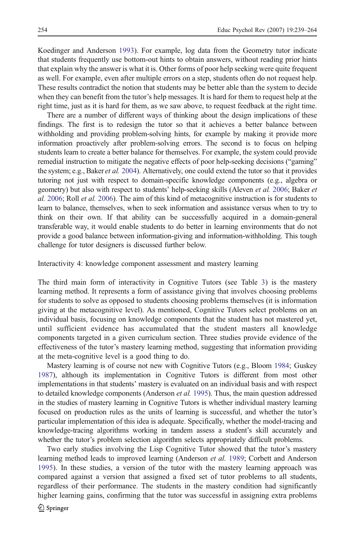Koedinger and Anderson [1993](#page-23-0)). For example, log data from the Geometry tutor indicate that students frequently use bottom-out hints to obtain answers, without reading prior hints that explain why the answer is what it is. Other forms of poor help seeking were quite frequent as well. For example, even after multiple errors on a step, students often do not request help. These results contradict the notion that students may be better able than the system to decide when they can benefit from the tutor's help messages. It is hard for them to request help at the right time, just as it is hard for them, as we saw above, to request feedback at the right time.

There are a number of different ways of thinking about the design implications of these findings. The first is to redesign the tutor so that it achieves a better balance between withholding and providing problem-solving hints, for example by making it provide more information proactively after problem-solving errors. The second is to focus on helping students learn to create a better balance for themselves. For example, the system could provide remedial instruction to mitigate the negative effects of poor help-seeking decisions ("gaming" the system; e.g., Baker *et al.* [2004](#page-23-0)). Alternatively, one could extend the tutor so that it provides tutoring not just with respect to domain-specific knowledge components (e.g., algebra or geometry) but also with respect to students' help-seeking skills (Aleven *et al.* [2006](#page-22-0); Baker *et* al. [2006](#page-23-0); Roll et al. [2006\)](#page-24-0). The aim of this kind of metacognitive instruction is for students to learn to balance, themselves, when to seek information and assistance versus when to try to think on their own. If that ability can be successfully acquired in a domain-general transferable way, it would enable students to do better in learning environments that do not provide a good balance between information-giving and information-withholding. This tough challenge for tutor designers is discussed further below.

#### Interactivity 4: knowledge component assessment and mastery learning

The third main form of interactivity in Cognitive Tutors (see Table [3](#page-5-0)) is the mastery learning method. It represents a form of assistance giving that involves choosing problems for students to solve as opposed to students choosing problems themselves (it is information giving at the metacognitive level). As mentioned, Cognitive Tutors select problems on an individual basis, focusing on knowledge components that the student has not mastered yet, until sufficient evidence has accumulated that the student masters all knowledge components targeted in a given curriculum section. Three studies provide evidence of the effectiveness of the tutor's mastery learning method, suggesting that information providing at the meta-cognitive level is a good thing to do.

Mastery learning is of course not new with Cognitive Tutors (e.g., Bloom [1984](#page-23-0); Guskey [1987](#page-23-0)), although its implementation in Cognitive Tutors is different from most other implementations in that students' mastery is evaluated on an individual basis and with respect to detailed knowledge components (Anderson *et al.* [1995\)](#page-22-0). Thus, the main question addressed in the studies of mastery learning in Cognitive Tutors is whether individual mastery learning focused on production rules as the units of learning is successful, and whether the tutor's particular implementation of this idea is adequate. Specifically, whether the model-tracing and knowledge-tracing algorithms working in tandem assess a student's skill accurately and whether the tutor's problem selection algorithm selects appropriately difficult problems.

Two early studies involving the Lisp Cognitive Tutor showed that the tutor's mastery learning method leads to improved learning (Anderson et al. [1989](#page-22-0); Corbett and Anderson [1995\)](#page-23-0). In these studies, a version of the tutor with the mastery learning approach was compared against a version that assigned a fixed set of tutor problems to all students, regardless of their performance. The students in the mastery condition had significantly higher learning gains, confirming that the tutor was successful in assigning extra problems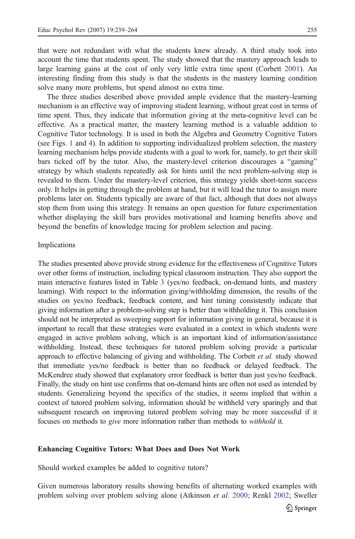that were not redundant with what the students knew already. A third study took into account the time that students spent. The study showed that the mastery approach leads to large learning gains at the cost of only very little extra time spent (Corbett [2001](#page-23-0)). An interesting finding from this study is that the students in the mastery learning condition solve many more problems, but spend almost no extra time.

The three studies described above provided ample evidence that the mastery-learning mechanism is an effective way of improving student learning, without great cost in terms of time spent. Thus, they indicate that information giving at the meta-cognitive level can be effective. As a practical matter, the mastery learning method is a valuable addition to Cognitive Tutor technology. It is used in both the Algebra and Geometry Cognitive Tutors (see Figs. [1](#page-5-0) and [4\)](#page-8-0). In addition to supporting individualized problem selection, the mastery learning mechanism helps provide students with a goal to work for, namely, to get their skill bars ticked off by the tutor. Also, the mastery-level criterion discourages a "gaming" strategy by which students repeatedly ask for hints until the next problem-solving step is revealed to them. Under the mastery-level criterion, this strategy yields short-term success only. It helps in getting through the problem at hand, but it will lead the tutor to assign more problems later on. Students typically are aware of that fact, although that does not always stop them from using this strategy. It remains an open question for future experimentation whether displaying the skill bars provides motivational and learning benefits above and beyond the benefits of knowledge tracing for problem selection and pacing.

## Implications

The studies presented above provide strong evidence for the effectiveness of Cognitive Tutors over other forms of instruction, including typical classroom instruction. They also support the main interactive features listed in Table [3](#page-5-0) (yes/no feedback, on-demand hints, and mastery learning). With respect to the information giving/withholding dimension, the results of the studies on yes/no feedback, feedback content, and hint timing consistently indicate that giving information after a problem-solving step is better than withholding it. This conclusion should not be interpreted as sweeping support for information giving in general, because it is important to recall that these strategies were evaluated in a context in which students were engaged in active problem solving, which is an important kind of information/assistance withholding. Instead, these techniques for tutored problem solving provide a particular approach to effective balancing of giving and withholding. The Corbett et al. study showed that immediate yes/no feedback is better than no feedback or delayed feedback. The McKendree study showed that explanatory error feedback is better than just yes/no feedback. Finally, the study on hint use confirms that on-demand hints are often not used as intended by students. Generalizing beyond the specifics of the studies, it seems implied that within a context of tutored problem solving, information should be withheld very sparingly and that subsequent research on improving tutored problem solving may be more successful if it focuses on methods to give more information rather than methods to withhold it.

## Enhancing Cognitive Tutors: What Does and Does Not Work

Should worked examples be added to cognitive tutors?

Given numerous laboratory results showing benefits of alternating worked examples with problem solving over problem solving alone (Atkinson et al. [2000;](#page-22-0) Renkl [2002;](#page-24-0) Sweller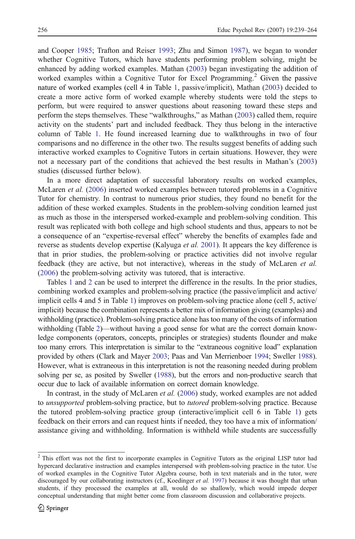and Cooper [1985](#page-24-0); Trafton and Reiser [1993;](#page-25-0) Zhu and Simon [1987](#page-25-0)), we began to wonder whether Cognitive Tutors, which have students performing problem solving, might be enhanced by adding worked examples. Mathan ([2003\)](#page-23-0) began investigating the addition of worked examples within a Cognitive Tutor for Excel Programming.<sup>2</sup> Given the passive nature of worked examples (cell 4 in Table [1](#page-2-0), passive/implicit), Mathan ([2003\)](#page-23-0) decided to create a more active form of worked example whereby students were told the steps to perform, but were required to answer questions about reasoning toward these steps and perform the steps themselves. These "walkthroughs," as Mathan ([2003\)](#page-23-0) called them, require activity on the students' part and included feedback. They thus belong in the interactive column of Table [1](#page-2-0). He found increased learning due to walkthroughs in two of four comparisons and no difference in the other two. The results suggest benefits of adding such interactive worked examples to Cognitive Tutors in certain situations. However, they were not a necessary part of the conditions that achieved the best results in Mathan's ([2003\)](#page-23-0) studies (discussed further below).

In a more direct adaptation of successful laboratory results on worked examples, McLaren et al. [\(2006](#page-24-0)) inserted worked examples between tutored problems in a Cognitive Tutor for chemistry. In contrast to numerous prior studies, they found no benefit for the addition of these worked examples. Students in the problem-solving condition learned just as much as those in the interspersed worked-example and problem-solving condition. This result was replicated with both college and high school students and thus, appears to not be a consequence of an "expertise-reversal effect" whereby the benefits of examples fade and reverse as students develop expertise (Kalyuga *et al.* [2001\)](#page-23-0). It appears the key difference is that in prior studies, the problem-solving or practice activities did not involve regular feedback (they are active, but not interactive), whereas in the study of McLaren et al. ([2006\)](#page-24-0) the problem-solving activity was tutored, that is interactive.

Tables [1](#page-2-0) and [2](#page-3-0) can be used to interpret the difference in the results. In the prior studies, combining worked examples and problem-solving practice (the passive/implicit and active/ implicit cells 4 and 5 in Table [1\)](#page-2-0) improves on problem-solving practice alone (cell 5, active/ implicit) because the combination represents a better mix of information giving (examples) and withholding (practice). Problem-solving practice alone has too many of the costs of information withholding (Table [2\)](#page-3-0)—without having a good sense for what are the correct domain knowledge components (operators, concepts, principles or strategies) students flounder and make too many errors. This interpretation is similar to the "extraneous cognitive load" explanation provided by others (Clark and Mayer [2003](#page-23-0); Paas and Van Merrienboer [1994;](#page-24-0) Sweller [1988](#page-24-0)). However, what is extraneous in this interpretation is not the reasoning needed during problem solving per se, as posited by Sweller [\(1988\)](#page-24-0), but the errors and non-productive search that occur due to lack of available information on correct domain knowledge.

In contrast, in the study of McLaren et al. ([2006\)](#page-24-0) study, worked examples are not added to *unsupported* problem-solving practice, but to *tutored* problem-solving practice. Because the tutored problem-solving practice group (interactive/implicit cell 6 in Table [1\)](#page-2-0) gets feedback on their errors and can request hints if needed, they too have a mix of information/ assistance giving and withholding. Information is withheld while students are successfully

<sup>&</sup>lt;sup>2</sup> This effort was not the first to incorporate examples in Cognitive Tutors as the original LISP tutor had hypercard declarative instruction and examples interspersed with problem-solving practice in the tutor. Use of worked examples in the Cognitive Tutor Algebra course, both in text materials and in the tutor, were discouraged by our collaborating instructors (cf., Koedinger et al. [1997](#page-23-0)) because it was thought that urban students, if they processed the examples at all, would do so shallowly, which would impede deeper conceptual understanding that might better come from classroom discussion and collaborative projects.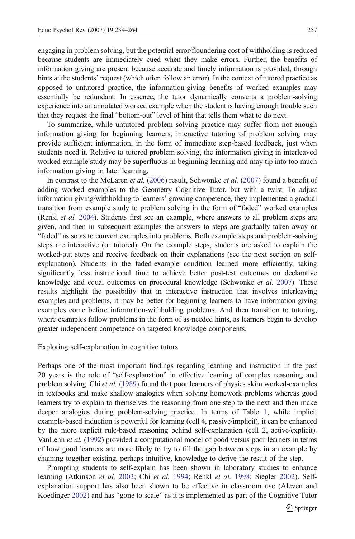engaging in problem solving, but the potential error/floundering cost of withholding is reduced because students are immediately cued when they make errors. Further, the benefits of information giving are present because accurate and timely information is provided, through hints at the students' request (which often follow an error). In the context of tutored practice as opposed to untutored practice, the information-giving benefits of worked examples may essentially be redundant. In essence, the tutor dynamically converts a problem-solving experience into an annotated worked example when the student is having enough trouble such that they request the final "bottom-out" level of hint that tells them what to do next.

To summarize, while untutored problem solving practice may suffer from not enough information giving for beginning learners, interactive tutoring of problem solving may provide sufficient information, in the form of immediate step-based feedback, just when students need it. Relative to tutored problem solving, the information giving in interleaved worked example study may be superfluous in beginning learning and may tip into too much information giving in later learning.

In contrast to the McLaren et al. [\(2006\)](#page-24-0) result, Schwonke et al. ([2007\)](#page-24-0) found a benefit of adding worked examples to the Geometry Cognitive Tutor, but with a twist. To adjust information giving/withholding to learners' growing competence, they implemented a gradual transition from example study to problem solving in the form of "faded" worked examples (Renkl et al. [2004](#page-24-0)). Students first see an example, where answers to all problem steps are given, and then in subsequent examples the answers to steps are gradually taken away or "faded" as so as to convert examples into problems. Both example steps and problem-solving steps are interactive (or tutored). On the example steps, students are asked to explain the worked-out steps and receive feedback on their explanations (see the next section on selfexplanation). Students in the faded-example condition learned more efficiently, taking significantly less instructional time to achieve better post-test outcomes on declarative knowledge and equal outcomes on procedural knowledge (Schwonke et al. [2007](#page-24-0)). These results highlight the possibility that in interactive instruction that involves interleaving examples and problems, it may be better for beginning learners to have information-giving examples come before information-withholding problems. And then transition to tutoring, where examples follow problems in the form of as-needed hints, as learners begin to develop greater independent competence on targeted knowledge components.

## Exploring self-explanation in cognitive tutors

Perhaps one of the most important findings regarding learning and instruction in the past 20 years is the role of "self-explanation" in effective learning of complex reasoning and problem solving. Chi et al. ([1989](#page-23-0)) found that poor learners of physics skim worked-examples in textbooks and make shallow analogies when solving homework problems whereas good learners try to explain to themselves the reasoning from one step to the next and then make deeper analogies during problem-solving practice. In terms of Table [1,](#page-2-0) while implicit example-based induction is powerful for learning (cell 4, passive/implicit), it can be enhanced by the more explicit rule-based reasoning behind self-explanation (cell 2, active/explicit). VanLehn et al. [\(1992\)](#page-25-0) provided a computational model of good versus poor learners in terms of how good learners are more likely to try to fill the gap between steps in an example by chaining together existing, perhaps intuitive, knowledge to derive the result of the step.

Prompting students to self-explain has been shown in laboratory studies to enhance learning (Atkinson *et al.* [2003](#page-22-0); Chi *et al.* [1994](#page-23-0); Renkl *et al.* [1998](#page-24-0); Siegler [2002](#page-24-0)). Selfexplanation support has also been shown to be effective in classroom use (Aleven and Koedinger [2002\)](#page-22-0) and has "gone to scale" as it is implemented as part of the Cognitive Tutor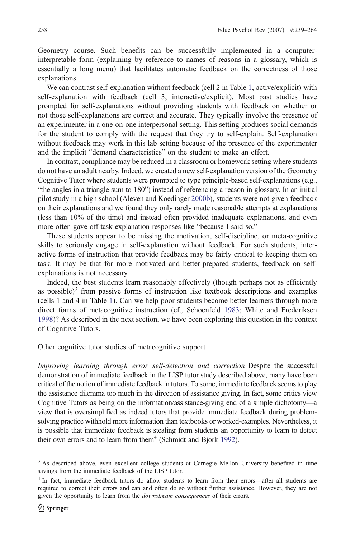Geometry course. Such benefits can be successfully implemented in a computerinterpretable form (explaining by reference to names of reasons in a glossary, which is essentially a long menu) that facilitates automatic feedback on the correctness of those explanations.

We can contrast self-explanation without feedback (cell 2 in Table [1](#page-2-0), active/explicit) with self-explanation with feedback (cell 3, interactive/explicit). Most past studies have prompted for self-explanations without providing students with feedback on whether or not those self-explanations are correct and accurate. They typically involve the presence of an experimenter in a one-on-one interpersonal setting. This setting produces social demands for the student to comply with the request that they try to self-explain. Self-explanation without feedback may work in this lab setting because of the presence of the experimenter and the implicit "demand characteristics" on the student to make an effort.

In contrast, compliance may be reduced in a classroom or homework setting where students do not have an adult nearby. Indeed, we created a new self-explanation version of the Geometry Cognitive Tutor where students were prompted to type principle-based self-explanations (e.g., "the angles in a triangle sum to 180") instead of referencing a reason in glossary. In an initial pilot study in a high school (Aleven and Koedinger [2000b](#page-22-0)), students were not given feedback on their explanations and we found they only rarely made reasonable attempts at explanations (less than 10% of the time) and instead often provided inadequate explanations, and even more often gave off-task explanation responses like "because I said so."

These students appear to be missing the motivation, self-discipline, or meta-cognitive skills to seriously engage in self-explanation without feedback. For such students, interactive forms of instruction that provide feedback may be fairly critical to keeping them on task. It may be that for more motivated and better-prepared students, feedback on selfexplanations is not necessary.

Indeed, the best students learn reasonably effectively (though perhaps not as efficiently as possible)<sup>3</sup> from passive forms of instruction like textbook descriptions and examples (cells 1 and 4 in Table [1\)](#page-2-0). Can we help poor students become better learners through more direct forms of metacognitive instruction (cf., Schoenfeld [1983;](#page-24-0) White and Frederiksen [1998\)](#page-25-0)? As described in the next section, we have been exploring this question in the context of Cognitive Tutors.

Other cognitive tutor studies of metacognitive support

Improving learning through error self-detection and correction Despite the successful demonstration of immediate feedback in the LISP tutor study described above, many have been critical of the notion of immediate feedback in tutors. To some, immediate feedback seems to play the assistance dilemma too much in the direction of assistance giving. In fact, some critics view Cognitive Tutors as being on the information/assistance-giving end of a simple dichotomy—a view that is oversimplified as indeed tutors that provide immediate feedback during problemsolving practice withhold more information than textbooks or worked-examples. Nevertheless, it is possible that immediate feedback is stealing from students an opportunity to learn to detect their own errors and to learn from them $4$  (Schmidt and Bjork [1992](#page-24-0)).

<sup>3</sup> As described above, even excellent college students at Carnegie Mellon University benefited in time savings from the immediate feedback of the LISP tutor.

<sup>&</sup>lt;sup>4</sup> In fact, immediate feedback tutors do allow students to learn from their errors—after all students are required to correct their errors and can and often do so without further assistance. However, they are not given the opportunity to learn from the *downstream consequences* of their errors.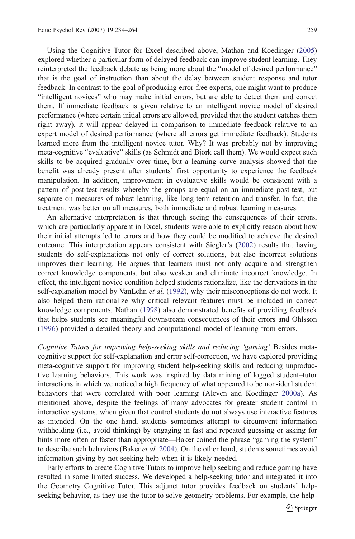Using the Cognitive Tutor for Excel described above, Mathan and Koedinger ([2005\)](#page-24-0) explored whether a particular form of delayed feedback can improve student learning. They reinterpreted the feedback debate as being more about the "model of desired performance" that is the goal of instruction than about the delay between student response and tutor feedback. In contrast to the goal of producing error-free experts, one might want to produce "intelligent novices" who may make initial errors, but are able to detect them and correct them. If immediate feedback is given relative to an intelligent novice model of desired performance (where certain initial errors are allowed, provided that the student catches them right away), it will appear delayed in comparison to immediate feedback relative to an expert model of desired performance (where all errors get immediate feedback). Students learned more from the intelligent novice tutor. Why? It was probably not by improving meta-cognitive "evaluative" skills (as Schmidt and Bjork call them). We would expect such skills to be acquired gradually over time, but a learning curve analysis showed that the benefit was already present after students' first opportunity to experience the feedback manipulation. In addition, improvement in evaluative skills would be consistent with a pattern of post-test results whereby the groups are equal on an immediate post-test, but separate on measures of robust learning, like long-term retention and transfer. In fact, the treatment was better on all measures, both immediate and robust learning measures.

An alternative interpretation is that through seeing the consequences of their errors, which are particularly apparent in Excel, students were able to explicitly reason about how their initial attempts led to errors and how they could be modified to achieve the desired outcome. This interpretation appears consistent with Siegler's ([2002\)](#page-24-0) results that having students do self-explanations not only of correct solutions, but also incorrect solutions improves their learning. He argues that learners must not only acquire and strengthen correct knowledge components, but also weaken and eliminate incorrect knowledge. In effect, the intelligent novice condition helped students rationalize, like the derivations in the self-explanation model by VanLehn *et al.* [\(1992](#page-25-0)), why their misconceptions do not work. It also helped them rationalize why critical relevant features must be included in correct knowledge components. Nathan [\(1998](#page-24-0)) also demonstrated benefits of providing feedback that helps students see meaningful downstream consequences of their errors and Ohlsson ([1996\)](#page-24-0) provided a detailed theory and computational model of learning from errors.

Cognitive Tutors for improving help-seeking skills and reducing 'gaming' Besides metacognitive support for self-explanation and error self-correction, we have explored providing meta-cognitive support for improving student help-seeking skills and reducing unproductive learning behaviors. This work was inspired by data mining of logged student–tutor interactions in which we noticed a high frequency of what appeared to be non-ideal student behaviors that were correlated with poor learning (Aleven and Koedinger [2000a\)](#page-22-0). As mentioned above, despite the feelings of many advocates for greater student control in interactive systems, when given that control students do not always use interactive features as intended. On the one hand, students sometimes attempt to circumvent information withholding (i.e., avoid thinking) by engaging in fast and repeated guessing or asking for hints more often or faster than appropriate—Baker coined the phrase "gaming the system" to describe such behaviors (Baker *et al.* [2004](#page-23-0)). On the other hand, students sometimes avoid information giving by not seeking help when it is likely needed.

Early efforts to create Cognitive Tutors to improve help seeking and reduce gaming have resulted in some limited success. We developed a help-seeking tutor and integrated it into the Geometry Cognitive Tutor. This adjunct tutor provides feedback on students' helpseeking behavior, as they use the tutor to solve geometry problems. For example, the help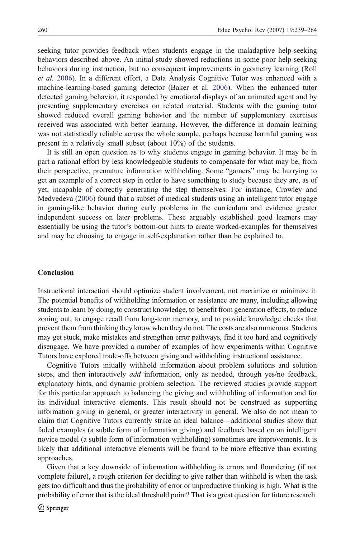seeking tutor provides feedback when students engage in the maladaptive help-seeking behaviors described above. An initial study showed reductions in some poor help-seeking behaviors during instruction, but no consequent improvements in geometry learning (Roll et al. [2006](#page-24-0)). In a different effort, a Data Analysis Cognitive Tutor was enhanced with a machine-learning-based gaming detector (Baker et al. [2006](#page-23-0)). When the enhanced tutor detected gaming behavior, it responded by emotional displays of an animated agent and by presenting supplementary exercises on related material. Students with the gaming tutor showed reduced overall gaming behavior and the number of supplementary exercises received was associated with better learning. However, the difference in domain learning was not statistically reliable across the whole sample, perhaps because harmful gaming was present in a relatively small subset (about 10%) of the students.

It is still an open question as to why students engage in gaming behavior. It may be in part a rational effort by less knowledgeable students to compensate for what may be, from their perspective, premature information withholding. Some "gamers" may be hurrying to get an example of a correct step in order to have something to study because they are, as of yet, incapable of correctly generating the step themselves. For instance, Crowley and Medvedeva [\(2006](#page-23-0)) found that a subset of medical students using an intelligent tutor engage in gaming-like behavior during early problems in the curriculum and evidence greater independent success on later problems. These arguably established good learners may essentially be using the tutor's bottom-out hints to create worked-examples for themselves and may be choosing to engage in self-explanation rather than be explained to.

## Conclusion

Instructional interaction should optimize student involvement, not maximize or minimize it. The potential benefits of withholding information or assistance are many, including allowing students to learn by doing, to construct knowledge, to benefit from generation effects, to reduce zoning out, to engage recall from long-term memory, and to provide knowledge checks that prevent them from thinking they know when they do not. The costs are also numerous. Students may get stuck, make mistakes and strengthen error pathways, find it too hard and cognitively disengage. We have provided a number of examples of how experiments within Cognitive Tutors have explored trade-offs between giving and withholding instructional assistance.

Cognitive Tutors initially withhold information about problem solutions and solution steps, and then interactively *add* information, only as needed, through yes/no feedback, explanatory hints, and dynamic problem selection. The reviewed studies provide support for this particular approach to balancing the giving and withholding of information and for its individual interactive elements. This result should not be construed as supporting information giving in general, or greater interactivity in general. We also do not mean to claim that Cognitive Tutors currently strike an ideal balance—additional studies show that faded examples (a subtle form of information giving) and feedback based on an intelligent novice model (a subtle form of information withholding) sometimes are improvements. It is likely that additional interactive elements will be found to be more effective than existing approaches.

Given that a key downside of information withholding is errors and floundering (if not complete failure), a rough criterion for deciding to give rather than withhold is when the task gets too difficult and thus the probability of error or unproductive thinking is high. What is the probability of error that is the ideal threshold point? That is a great question for future research.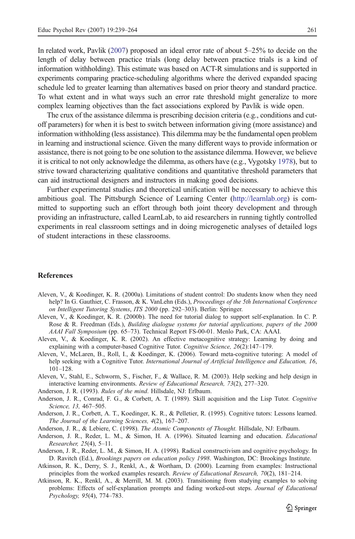<span id="page-22-0"></span>In related work, Pavlik ([2007](#page-24-0)) proposed an ideal error rate of about 5–25% to decide on the length of delay between practice trials (long delay between practice trials is a kind of information withholding). This estimate was based on ACT-R simulations and is supported in experiments comparing practice-scheduling algorithms where the derived expanded spacing schedule led to greater learning than alternatives based on prior theory and standard practice. To what extent and in what ways such an error rate threshold might generalize to more complex learning objectives than the fact associations explored by Pavlik is wide open.

The crux of the assistance dilemma is prescribing decision criteria (e.g., conditions and cutoff parameters) for when it is best to switch between information giving (more assistance) and information withholding (less assistance). This dilemma may be the fundamental open problem in learning and instructional science. Given the many different ways to provide information or assistance, there is not going to be one solution to the assistance dilemma. However, we believe it is critical to not only acknowledge the dilemma, as others have (e.g., Vygotsky [1978\)](#page-25-0), but to strive toward characterizing qualitative conditions and quantitative threshold parameters that can aid instructional designers and instructors in making good decisions.

Further experimental studies and theoretical unification will be necessary to achieve this ambitious goal. The Pittsburgh Science of Learning Center [\(http://learnlab.org\)](http://learnlab.org) is committed to supporting such an effort through both joint theory development and through providing an infrastructure, called LearnLab, to aid researchers in running tightly controlled experiments in real classroom settings and in doing microgenetic analyses of detailed logs of student interactions in these classrooms.

## **References**

- Aleven, V., & Koedinger, K. R. (2000a). Limitations of student control: Do students know when they need help? In G. Gauthier, C. Frasson, & K. VanLehn (Eds.), Proceedings of the 5th International Conference on Intelligent Tutoring Systems, ITS 2000 (pp. 292–303). Berlin: Springer.
- Aleven, V., & Koedinger, K. R. (2000b). The need for tutorial dialog to support self-explanation. In C. P. Rose & R. Freedman (Eds.), Building dialogue systems for tutorial applications, papers of the 2000 AAAI Fall Symposium (pp. 65–73). Technical Report FS-00-01. Menlo Park, CA: AAAI.
- Aleven, V., & Koedinger, K. R. (2002). An effective metacognitive strategy: Learning by doing and explaining with a computer-based Cognitive Tutor. Cognitive Science, 26(2):147–179.
- Aleven, V., McLaren, B., Roll, I., & Koedinger, K. (2006). Toward meta-cognitive tutoring: A model of help seeking with a Cognitive Tutor. International Journal of Artificial Intelligence and Education, 16, 101–128.
- Aleven, V., Stahl, E., Schworm, S., Fischer, F., & Wallace, R. M. (2003). Help seeking and help design in interactive learning environments. Review of Educational Research, 73(2), 277–320.
- Anderson, J. R. (1993). Rules of the mind. Hillsdale, NJ: Erlbaum.
- Anderson, J. R., Conrad, F. G., & Corbett, A. T. (1989). Skill acquisition and the Lisp Tutor. Cognitive Science, 13, 467–505.
- Anderson, J. R., Corbett, A. T., Koedinger, K. R., & Pelletier, R. (1995). Cognitive tutors: Lessons learned. The Journal of the Learning Sciences, 4(2), 167–207.
- Anderson, J. R., & Lebiere, C. (1998). The Atomic Components of Thought. Hillsdale, NJ: Erlbaum.
- Anderson, J. R., Reder, L. M., & Simon, H. A. (1996). Situated learning and education. *Educational* Researcher, 25(4), 5–11.
- Anderson, J. R., Reder, L. M., & Simon, H. A. (1998). Radical constructivism and cognitive psychology. In D. Ravitch (Ed.), Brookings papers on education policy 1998. Washington, DC: Brookings Institute.
- Atkinson, R. K., Derry, S. J., Renkl, A., & Wortham, D. (2000). Learning from examples: Instructional principles from the worked examples research. *Review of Educational Research*, 70(2), 181–214.
- Atkinson, R. K., Renkl, A., & Merrill, M. M. (2003). Transitioning from studying examples to solving problems: Effects of self-explanation prompts and fading worked-out steps. Journal of Educational Psychology, 95(4), 774–783.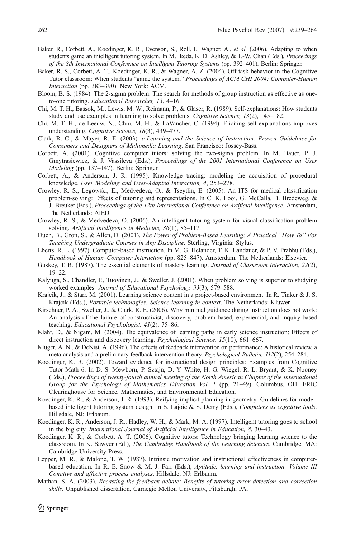- <span id="page-23-0"></span>Baker, R., Corbett, A., Koedinger, K. R., Evenson, S., Roll, I., Wagner, A., et al. (2006). Adapting to when students game an intelligent tutoring system. In M. Ikeda, K. D. Ashley, & T.-W. Chan (Eds.), Proceedings of the 8th International Conference on Intelligent Tutoring Systems (pp. 392–401). Berlin: Springer.
- Baker, R. S., Corbett, A. T., Koedinger, K. R., & Wagner, A. Z. (2004). Off-task behavior in the Cognitive Tutor classroom: When students "game the system." Proceedings of ACM CHI 2004: Computer-Human Interaction (pp. 383–390). New York: ACM.
- Bloom, B. S. (1984). The 2-sigma problem: The search for methods of group instruction as effective as oneto-one tutoring. Educational Researcher, 13, 4–16.
- Chi, M. T. H., Bassok, M., Lewis, M. W., Reimann, P., & Glaser, R. (1989). Self-explanations: How students study and use examples in learning to solve problems. Cognitive Science,  $13(2)$ ,  $145-182$ .
- Chi, M. T. H., de Leeuw, N., Chiu, M. H., & LaVancher, C. (1994). Eliciting self-explanations improves understanding. Cognitive Science, 18(3), 439–477.
- Clark, R. C., & Mayer, R. E. (2003). e-Learning and the Science of Instruction: Proven Guidelines for Consumers and Designers of Multimedia Learning. San Francisco: Jossey-Bass.
- Corbett, A. (2001). Cognitive computer tutors: solving the two-sigma problem. In M. Bauer, P. J. Gmytrasiewicz, & J. Vassileva (Eds.), Proceedings of the 2001 International Conference on User Modeling (pp. 137–147). Berlin: Springer.
- Corbett, A., & Anderson, J. R. (1995). Knowledge tracing: modeling the acquisition of procedural knowledge. User Modeling and User-Adapted Interaction, 4, 253–278.
- Crowley, R. S., Legowski, E., Medvedeva, O., & Tseytlin, E. (2005). An ITS for medical classification problem-solving: Effects of tutoring and representations. In C. K. Looi, G. McCalla, B. Bredeweg, & J. Breuker (Eds.), Proceedings of the 12th International Conference on Artificial Intelligence. Amsterdam, The Netherlands: AIED.
- Crowley, R. S., & Medvedeva, O. (2006). An intelligent tutoring system for visual classification problem solving. Artificial Intelligence in Medicine, 36(1), 85–117.
- Duch, B., Gron, S., & Allen, D. (2001). The Power of Problem-Based Learning; A Practical "How To" For Teaching Undergraduate Courses in Any Discipline. Sterling, Virginia: Stylus.
- Eberts, R. E. (1997). Computer-based instruction. In M. G. Helander, T. K. Landauer, & P. V. Prabhu (Eds.), Handbook of Human–Computer Interaction (pp. 825–847). Amsterdam, The Netherlands: Elsevier.
- Guskey, T. R. (1987). The essential elements of mastery learning. Journal of Classroom Interaction, 22(2), 19–22.
- Kalyuga, S., Chandler, P., Tuovinen, J., & Sweller, J. (2001). When problem solving is superior to studying worked examples. Journal of Educational Psychology, 93(3), 579–588.
- Krajcik, J., & Starr, M. (2001). Learning science content in a project-based environment. In R. Tinker & J. S. Krajcik (Eds.), Portable technologies: Science learning in context. The Netherlands: Kluwer.
- Kirschner, P. A., Sweller, J., & Clark, R. E. (2006). Why minimal guidance during instruction does not work: An analysis of the failure of constructivist, discovery, problem-based, experiential, and inquiry-based teaching. Educational Psychologist, 41(2), 75–86.
- Klahr, D., & Nigam, M. (2004). The equivalence of learning paths in early science instruction: Effects of direct instruction and discovery learning. Psychological Science, 15(10), 661–667.
- Kluger, A. N., & DeNisi, A. (1996). The effects of feedback intervention on performance: A historical review, a meta-analysis and a preliminary feedback intervention theory. Psychological Bulletin, 112(2), 254–284.
- Koedinger, K. R. (2002). Toward evidence for instructional design principles: Examples from Cognitive Tutor Math 6. In D. S. Mewborn, P. Sztajn, D. Y. White, H. G. Wiegel, R. L. Bryant, & K. Nooney (Eds.), Proceedings of twenty-fourth annual meeting of the North American Chapter of the International Group for the Psychology of Mathematics Education Vol. 1 (pp. 21–49). Columbus, OH: ERIC Clearinghouse for Science, Mathematics, and Environmental Education.
- Koedinger, K. R., & Anderson, J. R. (1993). Reifying implicit planning in geometry: Guidelines for modelbased intelligent tutoring system design. In S. Lajoie & S. Derry (Eds.), Computers as cognitive tools. Hillsdale, NJ: Erlbaum.
- Koedinger, K. R., Anderson, J. R., Hadley, W. H., & Mark, M. A. (1997). Intelligent tutoring goes to school in the big city. International Journal of Artificial Intelligence in Education, 8, 30–43.
- Koedinger, K. R., & Corbett, A. T. (2006). Cognitive tutors: Technology bringing learning science to the classroom. In K. Sawyer (Ed.), The Cambridge Handbook of the Learning Sciences. Cambridge, MA: Cambridge University Press.
- Lepper, M. R., & Malone, T. W. (1987). Intrinsic motivation and instructional effectiveness in computerbased education. In R. E. Snow & M. J. Farr (Eds.), Aptitude, learning and instruction: Volume III Conative and affective process analyses. Hillsdale, NJ: Erlbaum.
- Mathan, S. A. (2003). Recasting the feedback debate: Benefits of tutoring error detection and correction skills. Unpublished dissertation, Carnegie Mellon University, Pittsburgh, PA.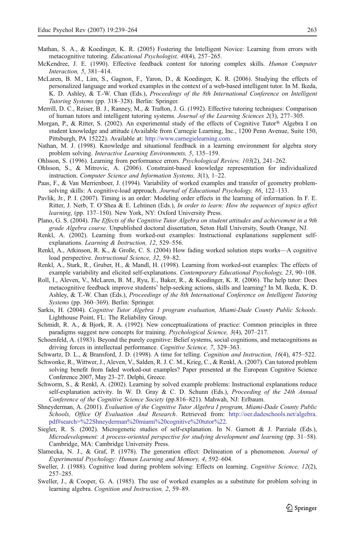- <span id="page-24-0"></span>Mathan, S. A., & Koedinger, K. R. (2005) Fostering the Intelligent Novice: Learning from errors with metacognitive tutoring. Educational Psychologist, 40(4), 257–265.
- McKendree, J. E. (1990). Effective feedback content for tutoring complex skills. Human Computer Interaction, 5, 381–414.
- McLaren, B. M., Lim, S., Gagnon, F., Yaron, D., & Koedinger, K. R. (2006). Studying the effects of personalized language and worked examples in the context of a web-based intelligent tutor. In M. Ikeda, K. D. Ashley, & T.-W. Chan (Eds.), Proceedings of the 8th International Conference on Intelligent Tutoring Systems (pp. 318–328). Berlin: Springer.
- Merrill, D. C., Reiser, B. J., Ranney, M., & Trafton, J. G. (1992). Effective tutoring techniques: Comparison of human tutors and intelligent tutoring systems. Journal of the Learning Sciences 2(3), 277–305.
- Morgan, P., & Ritter, S. (2002). An experimental study of the effects of Cognitive Tutor<sup>®</sup> Algebra I on student knowledge and attitude (Available from Carnegie Learning, Inc., 1200 Penn Avenue, Suite 150, Pittsburgh, PA 15222). Available at: [http://www.carnegielearning.com.](http://www.carnegielearning.com)
- Nathan, M. J. (1998). Knowledge and situational feedback in a learning environment for algebra story problem solving. Interactive Learning Environments, 5, 135–159.
- Ohlsson, S. (1996). Learning from performance errors. Psychological Review, 103(2), 241–262.
- Ohlsson, S., & Mitrovic, A. (2006). Constraint-based knowledge representation for individualized instruction. Computer Science and Information Systems, 3(1), 1–22.
- Paas, F., & Van Merrienboer, J. (1994). Variability of worked examples and transfer of geometry problemsolving skills: A cognitive-load approach. Journal of Educational Psychology, 86, 122-133.
- Pavlik, Jr., P. I. (2007). Timing is an order: Modeling order effects in the learning of information. In F. E. Ritter, J. Nerb, T. O'Shea & E. Lehtinen (Eds.), In order to learn: How the sequences of topics affect learning, (pp. 137–150). New York, NY: Oxford University Press.
- Plano, G. S. (2004). The Effects of the Cognitive Tutor Algebra on student attitudes and achievement in a 9th grade Algebra course. Unpublished doctoral dissertation, Seton Hall University, South Orange, NJ.
- Renkl, A. (2002). Learning from worked-out examples: Instructional explanations supplement selfexplanations. Learning & Instruction, 12, 529–556.
- Renkl, A., Atkinson, R. K., & Große, C. S. (2004) How fading worked solution steps works—A cognitive load perspective. *Instructional Science*, 32, 59–82.
- Renkl, A., Stark, R., Gruber, H., & Mandl, H. (1998). Learning from worked-out examples: The effects of example variability and elicited self-explanations. Contemporary Educational Psychology, 23, 90–108.
- Roll, I., Aleven, V., McLaren, B. M., Ryu, E., Baker, R., & Koedinger, K. R. (2006). The help tutor: Does metacognitive feedback improve students' help-seeking actions, skills and learning? In M. Ikeda, K. D. Ashley, & T.-W. Chan (Eds.), Proceedings of the 8th International Conference on Intelligent Tutoring Systems (pp. 360–369). Berlin: Springer.
- Sarkis, H. (2004). Cognitive Tutor Algebra 1 program evaluation, Miami-Dade County Public Schools. Lighthouse Point, FL: The Reliability Group.
- Schmidt, R. A., & Bjork, R. A. (1992). New conceptualizations of practice: Common principles in three paradigms suggest new concepts for training. Psychological Science, 3(4), 207–217.
- Schoenfeld, A. (1983). Beyond the purely cognitive: Belief systems, social cognitions, and metacognitions as driving forces in intellectual performance. Cognitive Science, 7, 329–363.
- Schwartz, D. L., & Bransford, J. D. (1998). A time for telling. Cognition and Instruction, 16(4), 475–522.
- Schwonke, R., Wittwer, J., Aleven, V., Salden, R. J. C. M., Krieg, C., & Renkl, A. (2007). Can tutored problem solving benefit from faded worked-out examples? Paper presented at the European Cognitive Science Conference 2007, May 23–27. Delphi, Greece.
- Schworm, S., & Renkl, A. (2002). Learning by solved example problems: Instructional explanations reduce self-explanation activity. In W. D. Gray & C. D. Schunn (Eds.), Proceeding of the 24th Annual Conference of the Cognitive Science Society (pp.816–821). Mahwah, NJ: Erlbaum.
- Shneyderman, A. (2001). Evaluation of the Cognitive Tutor Algebra I program, Miami-Dade County Public Schools, Office Of Evaluation And Research. Retrieved from: [http://oer.dadeschools.net/algebra.](http://oer.dadeschools.net/algebra.pdf#search=%22Shneyderman%20miami%20cognitive%20tutor%22) [pdf#search=%22Shneyderman%20miami%20cognitive%20tutor%22.](http://oer.dadeschools.net/algebra.pdf#search=%22Shneyderman%20miami%20cognitive%20tutor%22)
- Siegler, R. S. (2002). Microgenetic studies of self-explanation. In N. Garnott & J. Parziale (Eds.), Microdevelopment: A process-oriented perspective for studying development and learning (pp. 31–58). Cambridge, MA: Cambridge University Press.
- Slamecka, N. J., & Graf, P. (1978). The generation effect: Delineation of a phenomenon. Journal of Experimental Psychology: Human Learning and Memory, 4, 592–604.
- Sweller, J. (1988). Cognitive load during problem solving: Effects on learning. Cognitive Science, 12(2), 257–285.
- Sweller, J., & Cooper, G. A. (1985). The use of worked examples as a substitute for problem solving in learning algebra. Cognition and Instruction, 2, 59–89.